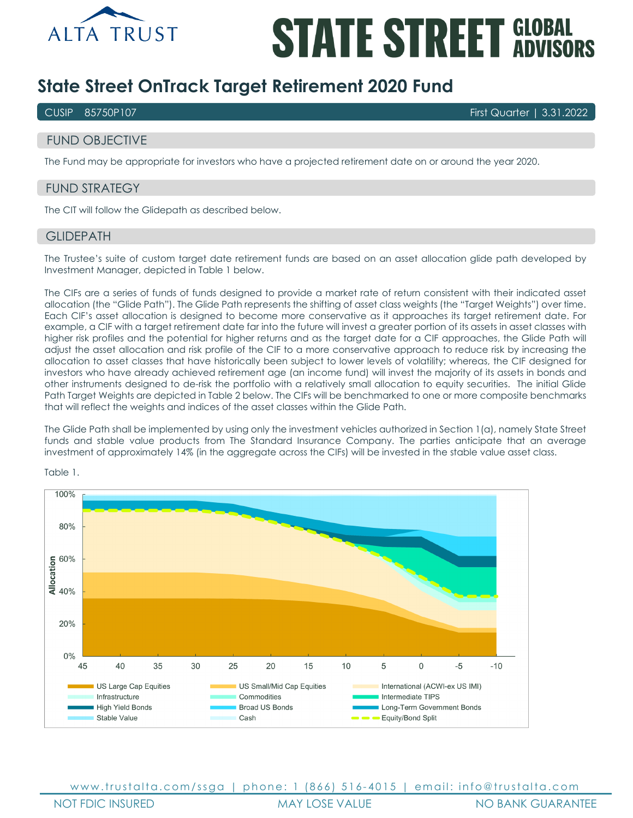

# **STATE STREET GLOBAL**

## **State Street OnTrack Target Retirement 2020 Fund**

CUSIP 85750P107 First Quarter | 3.31.2022

## FUND OBJECTIVE

The Fund may be appropriate for investors who have a projected retirement date on or around the year 2020.

## FUND STRATEGY

The CIT will follow the Glidepath as described below.

#### **GLIDEPATH**

The Trustee's suite of custom target date retirement funds are based on an asset allocation glide path developed by Investment Manager, depicted in Table 1 below.

The CIFs are a series of funds of funds designed to provide a market rate of return consistent with their indicated asset allocation (the "Glide Path"). The Glide Path represents the shifting of asset class weights (the "Target Weights") over time. Each CIF's asset allocation is designed to become more conservative as it approaches its target retirement date. For example, a CIF with a target retirement date far into the future will invest a greater portion of its assets in asset classes with higher risk profiles and the potential for higher returns and as the target date for a CIF approaches, the Glide Path will adjust the asset allocation and risk profile of the CIF to a more conservative approach to reduce risk by increasing the allocation to asset classes that have historically been subject to lower levels of volatility; whereas, the CIF designed for investors who have already achieved retirement age (an income fund) will invest the majority of its assets in bonds and other instruments designed to de-risk the portfolio with a relatively small allocation to equity securities. The initial Glide Path Target Weights are depicted in Table 2 below. The CIFs will be benchmarked to one or more composite benchmarks that will reflect the weights and indices of the asset classes within the Glide Path.

The Glide Path shall be implemented by using only the investment vehicles authorized in Section 1(a), namely State Street funds and stable value products from The Standard Insurance Company. The parties anticipate that an average investment of approximately 14% (in the aggregate across the CIFs) will be invested in the stable value asset class.



Table 1.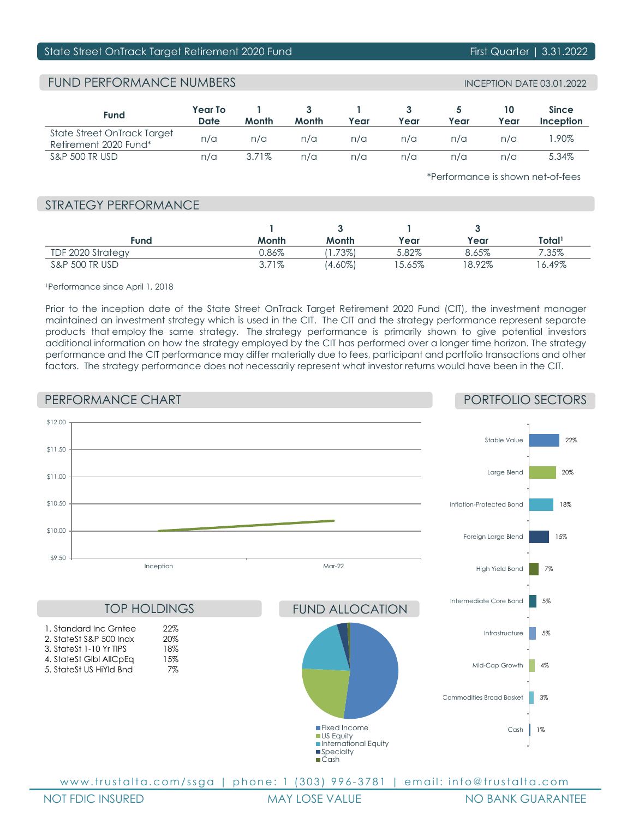## State Street OnTrack Target Retirement 2020 Fund First Quarter | 3.31.2022

## FUND PERFORMANCE NUMBERS INCEPTION DATE 03.01.2022

| Fund                                                 | Year To<br>Date | Month    | Month | Year | Year | Year | 10<br>Year | <b>Since</b><br>Inception |
|------------------------------------------------------|-----------------|----------|-------|------|------|------|------------|---------------------------|
| State Street OnTrack Target<br>Retirement 2020 Fund* | n/a             | n/a      | n/a   | n/a  | n/a  | n/a  | n/a        | .90%                      |
| <b>S&amp;P 500 TR USD</b>                            | n/a             | $3.71\%$ | n/a   | n/a  | n/a  | n/a  | n/a        | 5.34%                     |

\*Performance is shown net-of-fees

## STRATEGY PERFORMANCE

| Fund                      | Month    | Month      | Year  | Year  | Total <sup>1</sup> |
|---------------------------|----------|------------|-------|-------|--------------------|
| TDF 2020 Strategy         | J.86%    | (.73%)     | 5.82% | 8.65% | 7.35%              |
| <b>S&amp;P 500 TR USD</b> | $3.71\%$ | $(4.60\%)$ | 5.65% | 8.92% | 6.49%              |

#### 1Performance since April 1, 2018

Prior to the inception date of the State Street OnTrack Target Retirement 2020 Fund (CIT), the investment manager maintained an investment strategy which is used in the CIT. The CIT and the strategy performance represent separate products that employ the same strategy. The strategy performance is primarily shown to give potential investors additional information on how the strategy employed by the CIT has performed over a longer time horizon. The strategy performance and the CIT performance may differ materially due to fees, participant and portfolio transactions and other factors. The strategy performance does not necessarily represent what investor returns would have been in the CIT.

## PERFORMANCE CHART

## PORTFOLIO SECTORS



www.trustalta.com/ssga | phone: 1 (303) 996-3781 | email: info@trustalta.com

NOT FDIC INSURED MAY LOSE VALUE NO BANK GUARANTEE